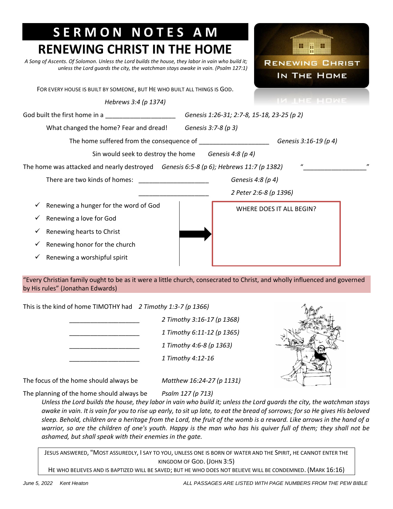| <b>SERMON NOTES AM</b><br><b>RENEWING CHRIST IN THE HOME</b>                                                                                                                          |                                            |  |
|---------------------------------------------------------------------------------------------------------------------------------------------------------------------------------------|--------------------------------------------|--|
| A Song of Ascents. Of Solomon. Unless the Lord builds the house, they labor in vain who build it;<br>unless the Lord quards the city, the watchman stays awake in vain. (Psalm 127:1) | m<br><b>RENEWING CHRIST</b><br>IN THE HOME |  |
| FOR EVERY HOUSE IS BUILT BY SOMEONE, BUT HE WHO BUILT ALL THINGS IS GOD.                                                                                                              |                                            |  |
| Hebrews 3:4 (p 1374)                                                                                                                                                                  | IN THE HOME                                |  |
| God built the first home in a _______________________                                                                                                                                 | Genesis 1:26-31; 2:7-8, 15-18, 23-25 (p 2) |  |
| What changed the home? Fear and dread!                                                                                                                                                | Genesis 3:7-8 (p 3)                        |  |
| The home suffered from the consequence of ______________________<br>Genesis 3:16-19 (p 4)                                                                                             |                                            |  |
| Sin would seek to destroy the home                                                                                                                                                    | Genesis 4:8 (p 4)                          |  |
| The home was attacked and nearly destroyed <i>Genesis 6:5-8 (p 6); Hebrews 11:7 (p 1382)</i>                                                                                          |                                            |  |
| There are two kinds of homes:                                                                                                                                                         | Genesis 4:8 (p 4)                          |  |
|                                                                                                                                                                                       | 2 Peter 2:6-8 (p 1396)                     |  |
| Renewing a hunger for the word of God                                                                                                                                                 | WHERE DOES IT ALL BEGIN?                   |  |
| Renewing a love for God                                                                                                                                                               |                                            |  |
| Renewing hearts to Christ<br>✓                                                                                                                                                        |                                            |  |
| Renewing honor for the church<br>✓                                                                                                                                                    |                                            |  |
| Renewing a worshipful spirit                                                                                                                                                          |                                            |  |

"Every Christian family ought to be as it were a little church, consecrated to Christ, and wholly influenced and governed by His rules" (Jonathan Edwards)

| This is the kind of home TIMOTHY had $2$ Timothy 1:3-7 (p 1366) |  |
|-----------------------------------------------------------------|--|
|                                                                 |  |

\_\_\_\_\_\_\_\_\_\_\_\_\_\_\_\_\_\_\_\_ *2 Timothy 3:16-17 (p 1368)* \_\_\_\_\_\_\_\_\_\_\_\_\_\_\_\_\_\_\_\_ *1 Timothy 6:11-12 (p 1365)* \_\_\_\_\_\_\_\_\_\_\_\_\_\_\_\_\_\_\_\_ *1 Timothy 4:6-8 (p 1363)* \_\_\_\_\_\_\_\_\_\_\_\_\_\_\_\_\_\_\_\_ *1 Timothy 4:12-16*



The focus of the home should always be *Matthew 16:24-27 (p 1131)*

The planning of the home should always be *Psalm 127 (p 713)*

*Unless the Lord builds the house, they labor in vain who build it; unless the Lord guards the city, the watchman stays awake in vain. It is vain for you to rise up early, to sit up late, to eat the bread of sorrows; for so He gives His beloved sleep. Behold, children are a heritage from the Lord, the fruit of the womb is a reward. Like arrows in the hand of a warrior, so are the children of one's youth. Happy is the man who has his quiver full of them; they shall not be ashamed, but shall speak with their enemies in the gate.*

JESUS ANSWERED, "MOST ASSUREDLY, I SAY TO YOU, UNLESS ONE IS BORN OF WATER AND THE SPIRIT, HE CANNOT ENTER THE KINGDOM OF GOD. (JOHN 3:5)

HE WHO BELIEVES AND IS BAPTIZED WILL BE SAVED; BUT HE WHO DOES NOT BELIEVE WILL BE CONDEMNED. (MARK 16:16)